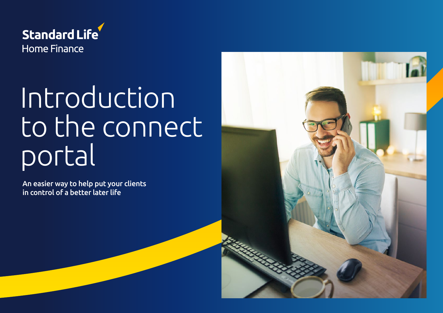

# Introduction to the connect portal

An easier way to help put your clients in control of a better later life

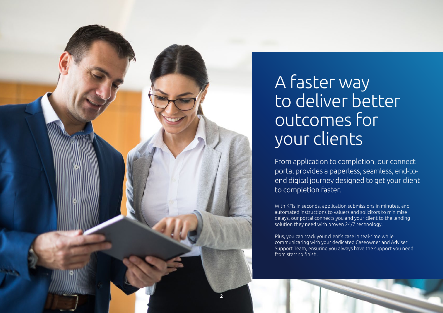

### A faster way to deliver better outcomes for your clients

From application to completion, our connect portal provides a paperless, seamless, end-toend digital journey designed to get your client to completion faster.

With KFIs in seconds, application submissions in minutes, and automated instructions to valuers and solicitors to minimise delays, our portal connects you and your client to the lending solution they need with proven 24/7 technology.

Plus, you can track your client's case in real-time while communicating with your dedicated Caseowner and Adviser Support Team, ensuring you always have the support you need from start to finish.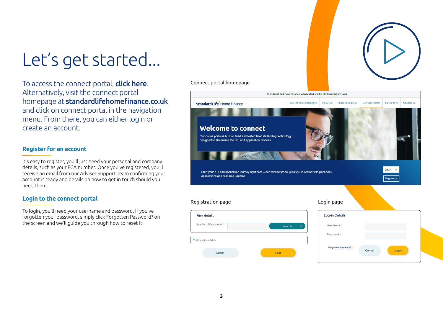

To access the connect portal, **[click here](https://www.standardlifehomefinance.co.uk/connect-portal).** Alternatively, visit the connect portal homepage at standardlifehomefinance.co.uk and click on connect portal in the navigation menu. From there, you can either login or create an account.

#### Connect portal homepage Standard Life Home Finance's dedicated site for UK financial advisers Standard Life Home Finance Our lifetime mortgages About us Tools to help you Connect Portal Newsroom Contact us Welcome to connect Our online portal is built on tried and tested later life lending technology designed to streamline the KFI and application process  $Login \rightarrow$ Start your KFI and application journey right here - our connect portal puts you in control with paperless annlications and real-time undates Register > Registration page **Login page** Login page Firm details **Log-in Details** Your Firm FCA number User Name\* Search Password<sup>\*</sup>  $\star$  Mandatory fields

Next

Forgotten Password?

Cancel

Logon

#### **Register for an account**

It's easy to register, you'll just need your personal and company details, such as your FCA number. Once you've registered, you'll receive an email from our Adviser Support Team confirming your account is ready and details on how to get in touch should you need them.

#### **Login to the connect portal**

To login, you'll need your username and password. If you've forgotten your password, simply click Forgotten Password? on the screen and we'll guide you through how to reset it.

Cancel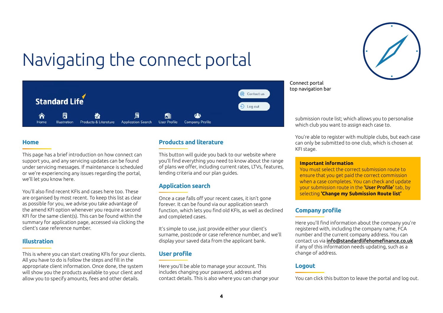

# Navigating the connect portal



#### **Home**

This page has a brief introduction on how connect can support you, and any servicing updates can be found under servicing messages. If maintenance is scheduled or we're experiencing any issues regarding the portal, we'll let you know here.

You'll also find recent KFIs and cases here too. These are organised by most recent. To keep this list as clear as possible for you, we advise you take advantage of the amend KFI option whenever you require a second KFI for the same client(s). This can be found within the summary for application page, accessed via clicking the client's case reference number.

#### **Illustration**

This is where you can start creating KFIs for your clients. All you have to do is follow the steps and fill in the appropriate client information. Once done, the system will show you the products available to your client and allow you to specify amounts, fees and other details.

#### **Products and literature**

This button will guide you back to our website where you'll find everything you need to know about the range of plans we offer, including current rates, LTVs, features, lending criteria and our plan guides.

#### **Application search**

Once a case falls off your recent cases, it isn't gone forever. It can be found via our application search function, which lets you find old KFIs, as well as declined and completed cases.

It's simple to use, just provide either your client's surname, postcode or case reference number, and we'll display your saved data from the applicant bank.

#### **User profile**

Here you'll be able to manage your account. This includes changing your password, address and contact details. This is also where you can change your Connect portal top navigation bar

> submission route list; which allows you to personalise which club you want to assign each case to.

You're able to register with multiple clubs, but each case can only be submitted to one club, which is chosen at KFI stage.

#### **Important information**

You must select the correct submission route to ensure that you get paid the correct commission when a case completes. You can check and update your submission route in the 'User Profile' tab, by selecting **'Change my Submission Route list'**

#### **Company profile**

Here you'll find information about the company you're registered with, including the company name, FCA number and the current company address. You can contact us via info@standardlifehomefinance.co.uk if any of this information needs updating, such as a change of address.

#### **Logout**

You can click this button to leave the portal and log out.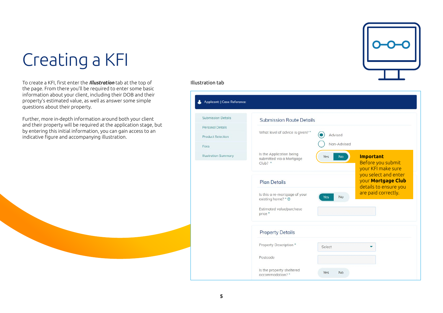# Creating a KFI

To create a KFI, first enter the *Illustration* tab at the top of the page. From there you'll be required to enter some basic information about your client, including their DOB and their property's estimated value, as well as answer some simple questions about their property.

Further, more in-depth information around both your client and their property will be required at the application stage, but by entering this initial information, you can gain access to an indicative figure and accompanying illustration.

#### Illustration tab

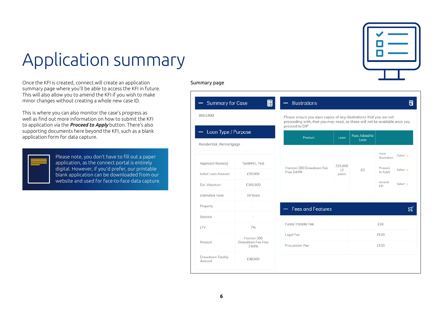

## Application summary

Once the KFI is created, connect will create an application summary page where you'll be able to access the KFI in future. This will also allow you to amend the KFI if you wish to make minor changes without creating a whole new case ID.

This is where you can also monitor the case's progress as well as find out more information on how to submit the KFI to application via the *Proceed to Apply* button. There's also supporting documents here beyond the KFI, such as a blank application form for data capture.



Please note, you don't have to fill out a paper application, as the connect portal is entirely digital. However, if you'd prefer, our printable blank application can be downloaded from our website and used for face-to-face data capture.

#### Summary page

| 8003499                                             |                                  |                                                                                                                                                                      |                        |                              |                          |          |
|-----------------------------------------------------|----------------------------------|----------------------------------------------------------------------------------------------------------------------------------------------------------------------|------------------------|------------------------------|--------------------------|----------|
|                                                     |                                  | Please ensure you save copies of any illustrations that you are not<br>proceeding with, that you may need, as these will not be available once you<br>proceed to DIP |                        |                              |                          |          |
| Loan Type / Purpose<br>—<br>Residential, Remortgage |                                  | Product                                                                                                                                                              | Loan                   | <b>Fees Added to</b><br>Loan |                          |          |
|                                                     |                                  |                                                                                                                                                                      |                        |                              | View<br>Illustration     | Select > |
| Applicant Name(s)<br>Initial Loan Amount            | Test##01, Test<br>£20,000        | Horizon 300 Drawdown Fee<br>Free 2.64%                                                                                                                               | £20,000<br>19<br>years | £0                           | Proceed<br>to Apply      | Select > |
| Est. Valuation                                      | £300,000                         |                                                                                                                                                                      |                        |                              | Amend<br>Select ><br>KFI |          |
| <b>Estimated Term</b>                               | 19 Years                         |                                                                                                                                                                      |                        |                              |                          |          |
| Property                                            |                                  | <b>Fees and Features</b>                                                                                                                                             |                        |                              |                          |          |
| Solicitor<br><b>LTV</b>                             | 7%                               | Funds Transfer Fee                                                                                                                                                   |                        |                              | £30                      |          |
| Product                                             | Horizon 300<br>Drawdown Fee Free | Legal Fee                                                                                                                                                            |                        | £510                         |                          |          |
|                                                     | 2.64%                            | Procuration Fee                                                                                                                                                      |                        | £530                         |                          |          |
| Drawdown Facility<br>Amount                         | £38,500                          |                                                                                                                                                                      |                        |                              |                          |          |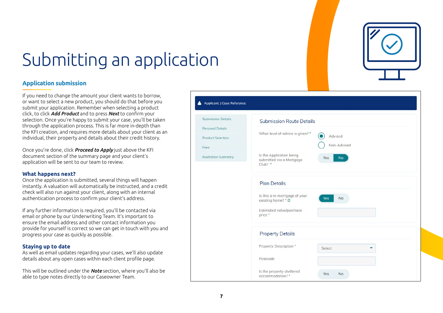Applicat

Submissio Personal I Product St Fees Illustration

# Submitting an application

#### **Application submission**

If you need to change the amount your client wants to borrow, or want to select a new product, you should do that before you submit your application. Remember when selecting a product click, to click *Add Product* and to press *Next* to confirm your selection. Once you're happy to submit your case, you'll be taken through the application process. This is far more in-depth than the KFI creation, and requires more details about your client as an individual, their property and details about their credit history.

Once you're done, click *Proceed to Apply* just above the KFI document section of the summary page and your client's application will be sent to our team to review.

#### **What happens next?**

Once the application is submitted, several things will happen instantly. A valuation will automatically be instructed, and a credit check will also run against your client, along with an internal authentication process to confirm your client's address.

If any further information is required, you'll be contacted via email or phone by our Underwriting Team. It's important to ensure the email address and other contact information you provide for yourself is correct so we can get in touch with you and progress your case as quickly as possible.

#### **Staying up to date**

As well as email updates regarding your cases, we'll also update details about any open cases within each client profile page.

This will be outlined under the *Note* section, where you'll also be able to type notes directly to our Caseowner Team.

| t:   Case Reference: |                                                                         |  |
|----------------------|-------------------------------------------------------------------------|--|
| n Details            | <b>Submission Route Details</b>                                         |  |
| <b>Details</b>       | What level of advice is given? *                                        |  |
| election             | Advised                                                                 |  |
|                      | Non-Advised                                                             |  |
| Summary              | Is the Application being<br>No<br>Yes<br>submitted via a Mortgage       |  |
|                      | $Club?$ *                                                               |  |
|                      | <b>Plan Details</b>                                                     |  |
|                      | Is this a re-mortgage of your<br><b>Yes</b><br>No<br>existing home? * @ |  |
|                      | Estimated value/purchase<br>price *                                     |  |
|                      | <b>Property Details</b>                                                 |  |
|                      | Property Description *<br>Select                                        |  |
|                      | Postcode                                                                |  |
|                      | Is the property sheltered<br>Yes<br>No<br>accommodation?*               |  |

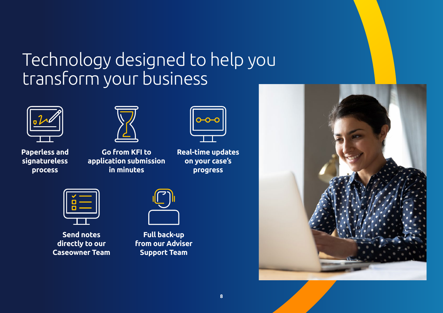### Technology designed to help you transform your business





**Paperless and signatureless process**

**Go from KFI to application submission in minutes**



**Real-time updates on your case's progress**



**Send notes directly to our Caseowner Team**



**Full back-up from our Adviser Support Team**